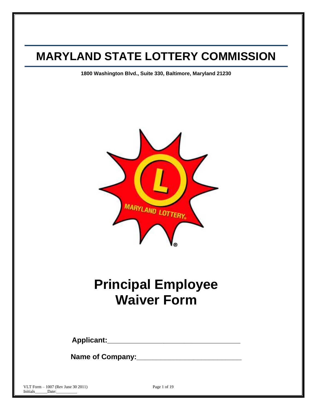# **MARYLAND STATE LOTTERY COMMISSION**

**1800 Washington Blvd., Suite 330, Baltimore, Maryland 21230**



# **Principal Employee Waiver Form**

**Applicant:\_\_\_\_\_\_\_\_\_\_\_\_\_\_\_\_\_\_\_\_\_\_\_\_\_\_\_\_\_\_\_\_\_**

**Name of Company:\_\_\_\_\_\_\_\_\_\_\_\_\_\_\_\_\_\_\_\_\_\_\_\_\_\_**

VLT Form – 1007 (Rev June 30 2011) Page 1 of 19 Initials Date:  $Date:$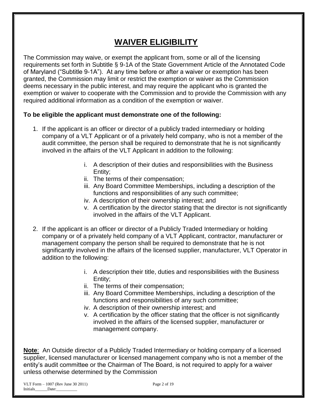# **WAIVER ELIGIBILITY**

The Commission may waive, or exempt the applicant from, some or all of the licensing requirements set forth in Subtitle § 9-1A of the State Government Article of the Annotated Code of Maryland ("Subtitle 9-1A"). At any time before or after a waiver or exemption has been granted, the Commission may limit or restrict the exemption or waiver as the Commission deems necessary in the public interest, and may require the applicant who is granted the exemption or waiver to cooperate with the Commission and to provide the Commission with any required additional information as a condition of the exemption or waiver.

### **To be eligible the applicant must demonstrate one of the following:**

- 1. If the applicant is an officer or director of a publicly traded intermediary or holding company of a VLT Applicant or of a privately held company, who is not a member of the audit committee, the person shall be required to demonstrate that he is not significantly involved in the affairs of the VLT Applicant in addition to the following:
	- i. A description of their duties and responsibilities with the Business Entity;
	- ii. The terms of their compensation;
	- iii. Any Board Committee Memberships, including a description of the functions and responsibilities of any such committee;
	- iv. A description of their ownership interest; and
	- v. A certification by the director stating that the director is not significantly involved in the affairs of the VLT Applicant.
- 2. If the applicant is an officer or director of a Publicly Traded Intermediary or holding company or of a privately held company of a VLT Applicant, contractor, manufacturer or management company the person shall be required to demonstrate that he is not significantly involved in the affairs of the licensed supplier, manufacturer, VLT Operator in addition to the following:
	- i. A description their title, duties and responsibilities with the Business Entity;
	- ii. The terms of their compensation;
	- iii. Any Board Committee Memberships, including a description of the functions and responsibilities of any such committee;
	- iv. A description of their ownership interest; and
	- v. A certification by the officer stating that the officer is not significantly involved in the affairs of the licensed supplier, manufacturer or management company.

**Note**: An Outside director of a Publicly Traded Intermediary or holding company of a licensed supplier, licensed manufacturer or licensed management company who is not a member of the entity's audit committee or the Chairman of The Board, is not required to apply for a waiver unless otherwise determined by the Commission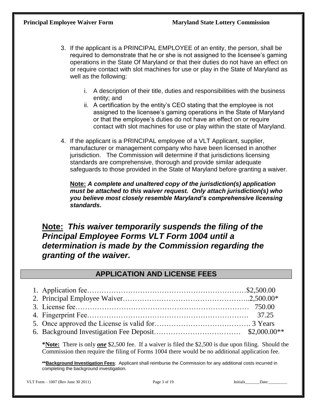- 3. If the applicant is a PRINCIPAL EMPLOYEE of an entity, the person, shall be required to demonstrate that he or she is not assigned to the licensee's gaming operations in the State Of Maryland or that their duties do not have an effect on or require contact with slot machines for use or play in the State of Maryland as well as the following:
	- i. A description of their title, duties and responsibilities with the business entity; and
	- ii. A certification by the entity's CEO stating that the employee is not assigned to the licensee's gaming operations in the State of Maryland or that the employee's duties do not have an effect on or require contact with slot machines for use or play within the state of Maryland.
- 4. If the applicant is a PRINCIPAL employee of a VLT Applicant, supplier, manufacturer or management company who have been licensed in another jurisdiction. The Commission will determine if that jurisdictions licensing standards are comprehensive, thorough and provide similar adequate safeguards to those provided in the State of Maryland before granting a waiver.

**Note:** *A complete and unaltered copy of the jurisdiction(s) application must be attached to this waiver request. Only attach jurisdiction(s) who you believe most closely resemble Maryland's comprehensive licensing standards.*

# **Note:** *This waiver temporarily suspends the filing of the Principal Employee Forms VLT Form 1004 until a determination is made by the Commission regarding the granting of the waiver.*

## **APPLICATION AND LICENSE FEES**

**\*Note:** There is only *one* \$2,500 fee. If a waiver is filed the \$2,500 is due upon filing. Should the Commission then require the filing of Forms 1004 there would be no additional application fee.

**\*\*Background Investigation Fees**: Applicant shall reimburse the Commission for any additional costs incurred in completing the background investigation.

VLT Form – 1007 (Rev June 30 2011) Page 3 of 19 Initials\_\_\_\_\_\_Date: \_\_\_\_\_\_\_\_\_\_\_\_\_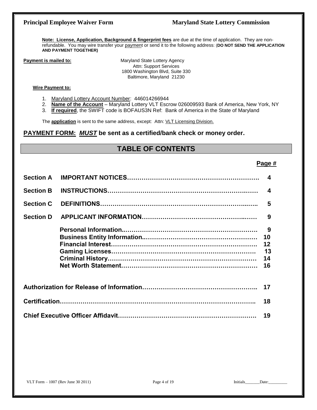### **Principal Employee Waiver Form Maryland State Lottery Commission**

**Note: License, Application, Background & fingerprint fees** are due at the time of application. They are nonrefundable. You may wire transfer your payment or send it to the following address: (**DO NOT SEND THE APPLICATION AND PAYMENT TOGETHER)**

**Payment is mailed to: Maryland State Lottery Agency** Attn: Support Services 1800 Washington Blvd, Suite 330 Baltimore, Maryland 21230

#### **Wire Payment to:**

- 1. Maryland Lottery Account Number: 446014266944
- 2. **Name of the Account** Maryland Lottery VLT Escrow 026009593 Bank of America, New York, NY
- 3. **If required**, the SWIFT code is BOFAUS3N Ref: Bank of America in the State of Maryland

The **application** is sent to the same address, except: Attn: VLT Licensing Division.

#### **PAYMENT FORM:** *MUST* **be sent as a certified/bank check or money order.**

### **TABLE OF CONTENTS**

### **Page #**

| <b>Section A</b> | $\boldsymbol{4}$           |
|------------------|----------------------------|
| <b>Section B</b> | $\boldsymbol{4}$           |
| <b>Section C</b> | 5                          |
| <b>Section D</b> | 9                          |
|                  | 10<br>12<br>13<br>14<br>16 |
|                  | 17                         |
|                  | 18                         |
|                  | 19                         |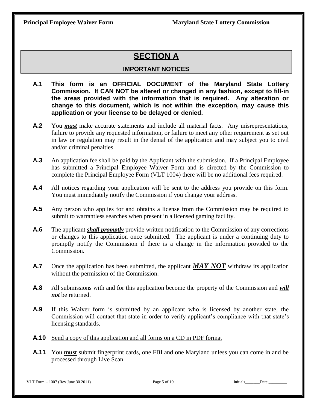# **SECTION A**

### **IMPORTANT NOTICES**

- **A.1 This form is an OFFICIAL DOCUMENT of the Maryland State Lottery Commission. It CAN NOT be altered or changed in any fashion, except to fill-in the areas provided with the information that is required. Any alteration or change to this document, which is not within the exception, may cause this application or your license to be delayed or denied.**
- **A.2** You *must* make accurate statements and include all material facts. Any misrepresentations, failure to provide any requested information, or failure to meet any other requirement as set out in law or regulation may result in the denial of the application and may subject you to civil and/or criminal penalties.
- **A.3** An application fee shall be paid by the Applicant with the submission. If a Principal Employee has submitted a Principal Employee Waiver Form and is directed by the Commission to complete the Principal Employee Form (VLT 1004) there will be no additional fees required.
- **A.4** All notices regarding your application will be sent to the address you provide on this form. You must immediately notify the Commission if you change your address.
- **A.5** Any person who applies for and obtains a license from the Commission may be required to submit to warrantless searches when present in a licensed gaming facility.
- **A.6** The applicant *shall promptly* provide written notification to the Commission of any corrections or changes to this application once submitted. The applicant is under a continuing duty to promptly notify the Commission if there is a change in the information provided to the Commission.
- A.7 Once the application has been submitted, the applicant *MAY NOT* withdraw its application without the permission of the Commission.
- **A.8** All submissions with and for this application become the property of the Commission and *will not* be returned.
- **A.9** If this Waiver form is submitted by an applicant who is licensed by another state, the Commission will contact that state in order to verify applicant's compliance with that state's licensing standards.
- **A.10** Send a copy of this application and all forms on a CD in PDF format
- **A.11** You **must** submit fingerprint cards, one FBI and one Maryland unless you can come in and be processed through Live Scan.

VLT Form – <sup>1007</sup> (Rev June 30 2011) Page 5 of 19 Initials\_\_\_\_\_\_\_Date:\_\_\_\_\_\_\_\_\_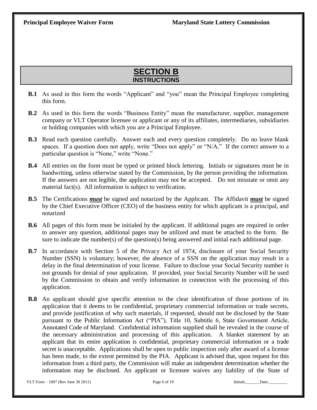# **SECTION B INSTRUCTIONS**

- **B.1** As used in this form the words "Applicant" and "you" mean the Principal Employee completing this form.
- **B.2** As used in this form the words "Business Entity" mean the manufacturer, supplier, management company or VLT Operator licensee or applicant or any of its affiliates, intermediaries, subsidiaries or holding companies with which you are a Principal Employee.
- **B.3** Read each question carefully. Answer each and every question completely. Do no leave blank spaces. If a question does not apply, write "Does not apply" or "N/A." If the correct answer to a particular question is "None," write "None."
- **B.4** All entries on the form must be typed or printed block lettering. Initials or signatures must be in handwriting, unless otherwise stated by the Commission, by the person providing the information. If the answers are not legible, the application may not be accepted. Do not misstate or omit any material fact(s). All information is subject to verification.
- **B.5** The Certifications *must* be signed and notarized by the Applicant. The Affidavit *must* be signed by the Chief Executive Officer (CEO) of the business entity for which applicant is a principal, and notarized
- **B.6** All pages of this form must be initialed by the applicant. If additional pages are required in order to answer any question, additional pages may be utilized and must be attached to the form. Be sure to indicate the number(s) of the question(s) being answered and initial each additional page.
- **B.7** In accordance with Section 5 of the Privacy Act of 1974, disclosure of your Social Security Number (SSN) is voluntary; however, the absence of a SSN on the application may result in a delay in the final determination of your license. Failure to disclose your Social Security number is not grounds for denial of your application. If provided, your Social Security Number will be used by the Commission to obtain and verify information in connection with the processing of this application.
- **B.8** An applicant should give specific attention to the clear identification of those portions of its application that it deems to be confidential, proprietary commercial information or trade secrets, and provide justification of why such materials, if requested, should not be disclosed by the State pursuant to the Public Information Act ("PIA"), Title 10, Subtitle 6, State Government Article, Annotated Code of Maryland. Confidential information supplied shall be revealed in the course of the necessary administration and processing of this application. A blanket statement by an applicant that its entire application is confidential, proprietary commercial information or a trade secret is unacceptable. Applications shall be open to public inspection only after award of a license has been made, to the extent permitted by the PIA. Applicant is advised that, upon request for this information from a third party, the Commission will make an independent determination whether the information may be disclosed. An applicant or licensee waives any liability of the State of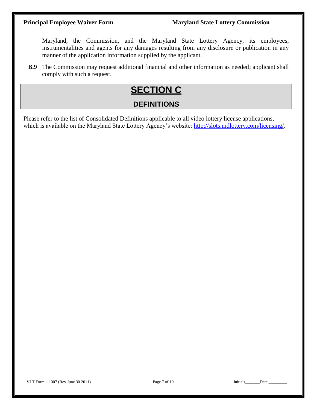Maryland, the Commission, and the Maryland State Lottery Agency, its employees, instrumentalities and agents for any damages resulting from any disclosure or publication in any manner of the application information supplied by the applicant.

**B.9** The Commission may request additional financial and other information as needed; applicant shall comply with such a request.

# **SECTION C**

# **DEFINITIONS**

Please refer to the list of Consolidated Definitions applicable to all video lottery license applications, which is available on the Maryland State Lottery Agency's website: [http://slots.mdlottery.com/licensing/.](http://slots.mdlottery.com/licensing/)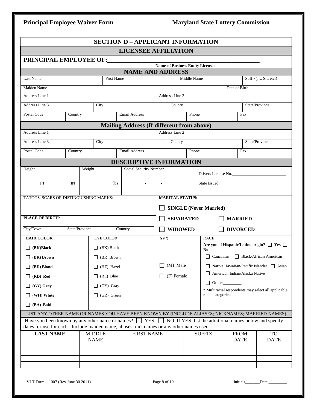## **Principal Employee Waiver Form Maryland State Lottery Commission**

|                                                                                                                          |                |                              |                   | <b>SECTION D - APPLICANT INFORMATION</b>         |                                  |                  |                               |                                                |                                                      |  |
|--------------------------------------------------------------------------------------------------------------------------|----------------|------------------------------|-------------------|--------------------------------------------------|----------------------------------|------------------|-------------------------------|------------------------------------------------|------------------------------------------------------|--|
|                                                                                                                          |                |                              |                   | <b>LICENSEE AFFILIATION</b>                      |                                  |                  |                               |                                                |                                                      |  |
|                                                                                                                          |                |                              |                   |                                                  |                                  |                  |                               |                                                |                                                      |  |
|                                                                                                                          |                |                              |                   | <b>NAME AND ADDRESS</b>                          | Name of Business Entity Licensee |                  |                               |                                                |                                                      |  |
| Last Name                                                                                                                |                |                              | <b>First Name</b> |                                                  |                                  | Middle Name      |                               |                                                | Suffix(Jr., Sr., etc.)                               |  |
| Maiden Name                                                                                                              |                |                              |                   |                                                  |                                  |                  |                               | Date of Birth                                  |                                                      |  |
| Address Line 1                                                                                                           |                |                              |                   |                                                  | Address Line 2                   |                  |                               |                                                |                                                      |  |
| Address Line 3                                                                                                           |                | City                         |                   |                                                  | County                           |                  |                               |                                                | State/Province                                       |  |
| Postal Code                                                                                                              | Country        |                              |                   | <b>Email Address</b>                             |                                  | Phone            |                               | Fax                                            |                                                      |  |
|                                                                                                                          |                |                              |                   | <b>Mailing Address (If different from above)</b> |                                  |                  |                               |                                                |                                                      |  |
| Address Line 1                                                                                                           |                |                              |                   |                                                  | Address Line 2                   |                  |                               |                                                |                                                      |  |
| Address Line 3                                                                                                           |                | City                         |                   |                                                  | County                           |                  |                               |                                                | State/Province                                       |  |
| Postal Code                                                                                                              | Country        |                              |                   | <b>Email Address</b>                             |                                  | Phone            |                               | Fax                                            |                                                      |  |
|                                                                                                                          |                |                              |                   | <b>DESCRIPTIVE INFORMATION</b>                   |                                  |                  |                               |                                                |                                                      |  |
| Height                                                                                                                   |                | Weight                       |                   | Social Security Number                           |                                  |                  |                               |                                                |                                                      |  |
| <b>FT</b><br><b>IN</b>                                                                                                   |                |                              | lbs               | <u> 1990 - John Harrison, martin e</u>           |                                  |                  |                               | Drivers License No.                            |                                                      |  |
|                                                                                                                          |                |                              |                   |                                                  |                                  |                  |                               |                                                |                                                      |  |
| TATOOS, SCARS OR DISTINGUISHING MARKS:                                                                                   |                |                              |                   |                                                  | <b>MARITAL STATUS:</b>           |                  |                               |                                                |                                                      |  |
|                                                                                                                          |                |                              |                   |                                                  |                                  |                  | <b>SINGLE (Never Married)</b> |                                                |                                                      |  |
| <b>PLACE OF BIRTH:</b>                                                                                                   |                |                              |                   |                                                  |                                  | <b>SEPARATED</b> |                               | <b>MARRIED</b>                                 |                                                      |  |
| City/Town                                                                                                                | State/Province |                              |                   | Country                                          | $\Box$ WIDOWED                   |                  |                               | <b>DIVORCED</b>                                |                                                      |  |
| <b>HAIR COLOR</b>                                                                                                        |                | <b>EYE COLOR</b>             |                   |                                                  | <b>SEX</b>                       |                  | <b>RACE</b>                   |                                                |                                                      |  |
| $\Box$ (BK)Black                                                                                                         |                |                              | $\Box$ (BK) Black |                                                  |                                  |                  |                               |                                                | Are you of Hispanic/Latino origin? □ Yes □           |  |
| $\Box$ (BR) Brown                                                                                                        |                |                              | $\Box$ (BR) Brown |                                                  |                                  |                  | No                            | $\Box$ Caucasian $\Box$ Black/African American |                                                      |  |
| $\Box$ (BD) Blond                                                                                                        |                |                              | $\Box$ (HZ) Hazel |                                                  | (M) Male                         |                  |                               |                                                | $\Box$ Native Hawaiian/Pacific Islander $\Box$ Asian |  |
| $\Box$ (RD) Red                                                                                                          |                |                              | $\Box$ (BL) Blue  |                                                  | $\Box$ (F) Female                |                  |                               | American Indian/Alaska Native                  |                                                      |  |
| $\Box$ (GY) Gray                                                                                                         |                |                              | $\Box$ (GY) Gray  |                                                  |                                  |                  | $\Box$ Other:                 |                                                |                                                      |  |
| $\Box$ (WH) White                                                                                                        |                |                              | $\Box$ (GR) Green |                                                  |                                  |                  | racial categories.            |                                                | * Multiracial respondents may select all applicable  |  |
| $\Box$ (BA) Bald                                                                                                         |                |                              |                   |                                                  |                                  |                  |                               |                                                |                                                      |  |
| LIST ANY OTHER NAME OR NAMES YOU HAVE BEEN KNOWN BY (INCLUDE ALIASES; NICKNAMES; MARRIED NAMES)                          |                |                              |                   |                                                  |                                  |                  |                               |                                                |                                                      |  |
| Have you been known by any other name or names? $\Box$ YES $\Box$ NO If YES, list the additional names below and specify |                |                              |                   |                                                  |                                  |                  |                               |                                                |                                                      |  |
| dates for use for each. Include maiden name, aliases, nicknames or any other names used.                                 |                |                              |                   |                                                  |                                  |                  |                               |                                                |                                                      |  |
| <b>LAST NAME</b>                                                                                                         |                | <b>MIDDLE</b><br><b>NAME</b> |                   | <b>FIRST NAME</b>                                |                                  |                  | <b>SUFFIX</b>                 | <b>FROM</b><br><b>DATE</b>                     | TO<br><b>DATE</b>                                    |  |
|                                                                                                                          |                |                              |                   |                                                  |                                  |                  |                               |                                                |                                                      |  |
|                                                                                                                          |                |                              |                   |                                                  |                                  |                  |                               |                                                |                                                      |  |
|                                                                                                                          |                |                              |                   |                                                  |                                  |                  |                               |                                                |                                                      |  |

VLT Form – 1007 (Rev June 30 2011) Page 8 of 19 Initials\_\_\_\_\_\_Date:\_\_\_\_\_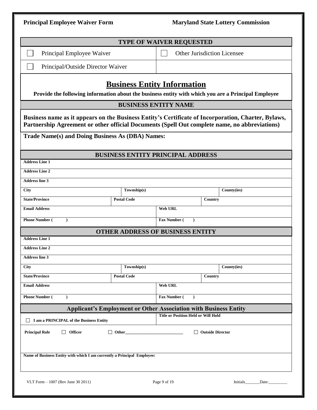| <b>Principal Employee Waiver Form</b>                                                                                                                                                                |                                          |                |                                            |                    | <b>Maryland State Lottery Commission</b> |
|------------------------------------------------------------------------------------------------------------------------------------------------------------------------------------------------------|------------------------------------------|----------------|--------------------------------------------|--------------------|------------------------------------------|
|                                                                                                                                                                                                      | <b>TYPE OF WAIVER REQUESTED</b>          |                |                                            |                    |                                          |
| Principal Employee Waiver                                                                                                                                                                            |                                          |                | <b>Other Jurisdiction Licensee</b>         |                    |                                          |
| Principal/Outside Director Waiver                                                                                                                                                                    |                                          |                |                                            |                    |                                          |
| Provide the following information about the business entity with which you are a Principal Employee                                                                                                  | <b>Business Entity Information</b>       |                |                                            |                    |                                          |
|                                                                                                                                                                                                      | <b>BUSINESS ENTITY NAME</b>              |                |                                            |                    |                                          |
| Business name as it appears on the Business Entity's Certificate of Incorporation, Charter, Bylaws,<br>Partnership Agreement or other official Documents (Spell Out complete name, no abbreviations) |                                          |                |                                            |                    |                                          |
| Trade Name(s) and Doing Business As (DBA) Names:                                                                                                                                                     |                                          |                |                                            |                    |                                          |
|                                                                                                                                                                                                      | <b>BUSINESS ENTITY PRINCIPAL ADDRESS</b> |                |                                            |                    |                                          |
| <b>Address Line 1</b>                                                                                                                                                                                |                                          |                |                                            |                    |                                          |
| <b>Address Line 2</b>                                                                                                                                                                                |                                          |                |                                            |                    |                                          |
| <b>Address line 3</b>                                                                                                                                                                                |                                          |                |                                            |                    |                                          |
| <b>City</b>                                                                                                                                                                                          | Township(s)                              |                |                                            |                    | County(ies)                              |
| <b>State/Province</b>                                                                                                                                                                                | <b>Postal Code</b>                       |                |                                            | Country            |                                          |
| <b>Email Address</b>                                                                                                                                                                                 |                                          | <b>Web URL</b> |                                            |                    |                                          |
| <b>Phone Number (</b><br>$\lambda$                                                                                                                                                                   |                                          | Fax Number (   | $\lambda$                                  |                    |                                          |
|                                                                                                                                                                                                      | <b>OTHER ADDRESS OF BUSINESS ENTITY</b>  |                |                                            |                    |                                          |
| <b>Address Line 1</b>                                                                                                                                                                                |                                          |                |                                            |                    |                                          |
| <b>Address Line 2</b>                                                                                                                                                                                |                                          |                |                                            |                    |                                          |
| <b>Address line 3</b>                                                                                                                                                                                |                                          |                |                                            |                    |                                          |
| $\overline{C}$ ity                                                                                                                                                                                   | Township(s)                              |                |                                            |                    | County(ies)                              |
| <b>State/Province</b>                                                                                                                                                                                | <b>Postal Code</b>                       |                |                                            | Country            |                                          |
| <b>Email Address</b>                                                                                                                                                                                 |                                          | <b>Web URL</b> |                                            |                    |                                          |
| <b>Phone Number (</b><br>$\lambda$                                                                                                                                                                   |                                          | Fax Number (   | $\lambda$                                  |                    |                                          |
| <b>Applicant's Employment or Other Association with Business Entity</b>                                                                                                                              |                                          |                |                                            |                    |                                          |
| I am a PRINCIPAL of the Business Entity                                                                                                                                                              |                                          |                | <b>Title or Position Held or Will Hold</b> |                    |                                          |
| $\Box$ Officer<br><b>Principal Role</b>                                                                                                                                                              | $\Box$ Other                             |                |                                            | □ Outside Director |                                          |
| Name of Business Entity with which I am currently a Principal Employee:                                                                                                                              |                                          |                |                                            |                    |                                          |
| VLT Form $-1007$ (Rev June 30 2011)                                                                                                                                                                  |                                          | Page 9 of 19   |                                            |                    | Initials Date:                           |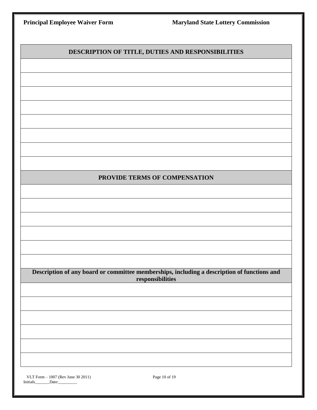| <b>Principal Employee Waiver Form</b>                   | <b>Maryland State Lottery Commission</b>                                                                        |
|---------------------------------------------------------|-----------------------------------------------------------------------------------------------------------------|
|                                                         |                                                                                                                 |
|                                                         | DESCRIPTION OF TITLE, DUTIES AND RESPONSIBILITIES                                                               |
|                                                         |                                                                                                                 |
|                                                         |                                                                                                                 |
|                                                         |                                                                                                                 |
|                                                         |                                                                                                                 |
|                                                         |                                                                                                                 |
|                                                         |                                                                                                                 |
|                                                         |                                                                                                                 |
|                                                         | PROVIDE TERMS OF COMPENSATION                                                                                   |
|                                                         |                                                                                                                 |
|                                                         |                                                                                                                 |
|                                                         |                                                                                                                 |
|                                                         |                                                                                                                 |
|                                                         |                                                                                                                 |
|                                                         |                                                                                                                 |
|                                                         | Description of any board or committee memberships, including a description of functions and<br>responsibilities |
|                                                         |                                                                                                                 |
|                                                         |                                                                                                                 |
|                                                         |                                                                                                                 |
|                                                         |                                                                                                                 |
|                                                         |                                                                                                                 |
|                                                         |                                                                                                                 |
| VLT Form - 1007 (Rev June 30 2011)<br>Initials<br>Date: | Page 10 of 19                                                                                                   |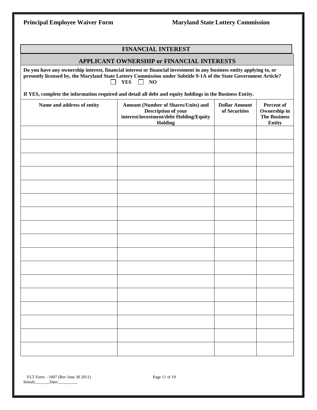| Principal Employee Waiver Form                                                                                   | <b>Maryland State Lottery Commission</b>          |
|------------------------------------------------------------------------------------------------------------------|---------------------------------------------------|
|                                                                                                                  |                                                   |
|                                                                                                                  | <b>FINANCIAL INTEREST</b>                         |
|                                                                                                                  | <b>APPLICANT OWNERSHIP or FINANCIAL INTERESTS</b> |
| Do vou have any ownershin interest-financial interest or financial investment in any husiness entity annlying to |                                                   |

**Do you have any ownership interest, financial interest or financial investment in any business entity applying to, or presently licensed by, the Maryland State Lottery Commission under Subtitle 9-1A of the State Government Article? D** YES **D** NO

**If YES, complete the information required and detail all debt and equity holdings in the Business Entity.**

| Name and address of entity | Amount (Number of Shares/Units) and<br>Description of your<br>interest/investment/debt Holding/Equity<br>Holding | <b>Dollar Amount</b><br>of Securities | Percent of<br>Ownership in<br>The Business<br><b>Entity</b> |
|----------------------------|------------------------------------------------------------------------------------------------------------------|---------------------------------------|-------------------------------------------------------------|
|                            |                                                                                                                  |                                       |                                                             |
|                            |                                                                                                                  |                                       |                                                             |
|                            |                                                                                                                  |                                       |                                                             |
|                            |                                                                                                                  |                                       |                                                             |
|                            |                                                                                                                  |                                       |                                                             |
|                            |                                                                                                                  |                                       |                                                             |
|                            |                                                                                                                  |                                       |                                                             |
|                            |                                                                                                                  |                                       |                                                             |
|                            |                                                                                                                  |                                       |                                                             |
|                            |                                                                                                                  |                                       |                                                             |
|                            |                                                                                                                  |                                       |                                                             |
|                            |                                                                                                                  |                                       |                                                             |
|                            |                                                                                                                  |                                       |                                                             |
|                            |                                                                                                                  |                                       |                                                             |
|                            |                                                                                                                  |                                       |                                                             |
|                            |                                                                                                                  |                                       |                                                             |
|                            |                                                                                                                  |                                       |                                                             |

 VLT Form – <sup>1007</sup> (Rev June 30 2011) Page 11 of 19 Initials\_\_\_\_\_\_\_Date:\_\_\_\_\_\_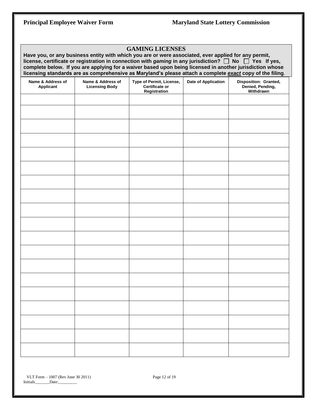| <b>GAMING LICENSES</b><br>Have you, or any business entity with which you are or were associated, ever applied for any permit,<br>license, certificate or registration in connection with gaming in any jurisdiction? $\Box$ No $\Box$ Yes If yes,<br>complete below. If you are applying for a waiver based upon being licensed in another jurisdiction whose<br>licensing standards are as comprehensive as Maryland's please attach a complete exact copy of the filing. |                                            |                                                                   |                     |                                                        |  |  |
|-----------------------------------------------------------------------------------------------------------------------------------------------------------------------------------------------------------------------------------------------------------------------------------------------------------------------------------------------------------------------------------------------------------------------------------------------------------------------------|--------------------------------------------|-------------------------------------------------------------------|---------------------|--------------------------------------------------------|--|--|
| Name & Address of<br><b>Applicant</b>                                                                                                                                                                                                                                                                                                                                                                                                                                       | Name & Address of<br><b>Licensing Body</b> | Type of Permit, License,<br><b>Certificate or</b><br>Registration | Date of Application | Disposition: Granted,<br>Denied, Pending,<br>Withdrawn |  |  |
|                                                                                                                                                                                                                                                                                                                                                                                                                                                                             |                                            |                                                                   |                     |                                                        |  |  |
|                                                                                                                                                                                                                                                                                                                                                                                                                                                                             |                                            |                                                                   |                     |                                                        |  |  |
|                                                                                                                                                                                                                                                                                                                                                                                                                                                                             |                                            |                                                                   |                     |                                                        |  |  |
|                                                                                                                                                                                                                                                                                                                                                                                                                                                                             |                                            |                                                                   |                     |                                                        |  |  |
|                                                                                                                                                                                                                                                                                                                                                                                                                                                                             |                                            |                                                                   |                     |                                                        |  |  |
|                                                                                                                                                                                                                                                                                                                                                                                                                                                                             |                                            |                                                                   |                     |                                                        |  |  |
|                                                                                                                                                                                                                                                                                                                                                                                                                                                                             |                                            |                                                                   |                     |                                                        |  |  |
|                                                                                                                                                                                                                                                                                                                                                                                                                                                                             |                                            |                                                                   |                     |                                                        |  |  |
|                                                                                                                                                                                                                                                                                                                                                                                                                                                                             |                                            |                                                                   |                     |                                                        |  |  |
|                                                                                                                                                                                                                                                                                                                                                                                                                                                                             |                                            |                                                                   |                     |                                                        |  |  |
|                                                                                                                                                                                                                                                                                                                                                                                                                                                                             |                                            |                                                                   |                     |                                                        |  |  |
|                                                                                                                                                                                                                                                                                                                                                                                                                                                                             |                                            |                                                                   |                     |                                                        |  |  |
|                                                                                                                                                                                                                                                                                                                                                                                                                                                                             |                                            |                                                                   |                     |                                                        |  |  |
|                                                                                                                                                                                                                                                                                                                                                                                                                                                                             |                                            |                                                                   |                     |                                                        |  |  |
|                                                                                                                                                                                                                                                                                                                                                                                                                                                                             |                                            |                                                                   |                     |                                                        |  |  |
|                                                                                                                                                                                                                                                                                                                                                                                                                                                                             |                                            |                                                                   |                     |                                                        |  |  |
|                                                                                                                                                                                                                                                                                                                                                                                                                                                                             |                                            |                                                                   |                     |                                                        |  |  |
|                                                                                                                                                                                                                                                                                                                                                                                                                                                                             |                                            |                                                                   |                     |                                                        |  |  |
|                                                                                                                                                                                                                                                                                                                                                                                                                                                                             |                                            |                                                                   |                     |                                                        |  |  |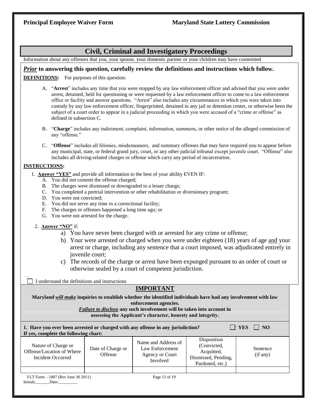### **Civil, Criminal and Investigatory Proceedings**

Information about any offenses that you, your spouse, your domestic partner or your children may have committed

#### *Prior* **to answering this question, carefully review the definitions and instructions which follow.**

**DEFINITIONS:** For purposes of this question:

- A. "**Arrest**" includes any time that you were stopped by any law enforcement officer and advised that you were under arrest, detained, held for questioning or were requested by a law enforcement officer to come to a law enforcement office or facility and answer questions. "Arrest" also includes any circumstances in which you were taken into custody by any law enforcement officer, fingerprinted, detained in any jail or detention center, or otherwise been the subject of a court order to appear in a judicial proceeding in which you were accused of a "crime or offense" as defined in subsection C.
- B. "**Charge**" includes any indictment, complaint, information, summons, or other notice of the alleged commission of any "offense."
- C. "**Offense**" includes all felonies, misdemeanors, and summary offenses that may have required you to appear before any municipal, state, or federal grand jury, court, or any other judicial tribunal except juvenile court. "Offense" also includes all driving-related charges or offense which carry any period of incarceration.

#### **INSTRUCTIONS:**

.

- 1. **Answer "YES"** and provide all information to the best of your ability EVEN IF:
	- A. You did not commit the offense charged;
	- B. The charges were dismissed or downgraded to a lesser charge;
	- C. You completed a pretrial intervention or other rehabilitation or diversionary program;
	- D. You were not convicted;
	- E. You did not serve any time in a correctional facility;
	- F. The charges or offenses happened a long time ago; or
	- G. You were not arrested for the charge.

#### 2. **Answer "NO"** if:

- a) You have never been charged with or arrested for any crime or offense;
- b) Your were arrested or charged when you were under eighteen (18) years of age and your arrest or charge, including any sentence that a court imposed, was adjudicated entirely in juvenile court;
- c) The records of the charge or arrest have been expunged pursuant to an order of court or otherwise sealed by a court of competent jurisdiction.

I understand the definitions and instructions

### **IMPORTANT**

**Maryland** *will make* **inquiries to establish whether the identified individuals have had any involvement with law enforcement agencies.**

#### *Failure to disclose* **any such involvement will be taken into account in assessing the Applicant's character, honesty and integrity.**

| 1. Have you ever been arrested or charged with any offense in any jurisdiction?<br>If yes, complete the following chart: |                              |                                                                       |                                                                                    | $\overline{\phantom{0}}$ NO<br><b>YES</b> |
|--------------------------------------------------------------------------------------------------------------------------|------------------------------|-----------------------------------------------------------------------|------------------------------------------------------------------------------------|-------------------------------------------|
| Nature of Charge or<br>Offense/Location of Where<br>Incident Occurred                                                    | Date of Charge or<br>Offense | Name and Address of<br>Law Enforcement<br>Agency or Court<br>Involved | Disposition<br>(Convicted,<br>Acquitted,<br>Dismissed, Pending,<br>Pardoned, etc.) | Sentence<br>(if any)                      |
|                                                                                                                          |                              |                                                                       |                                                                                    |                                           |
| VLT Form $-1007$ (Rev June 30 2011)<br>Initials<br>Date:                                                                 |                              | Page 13 of 19                                                         |                                                                                    |                                           |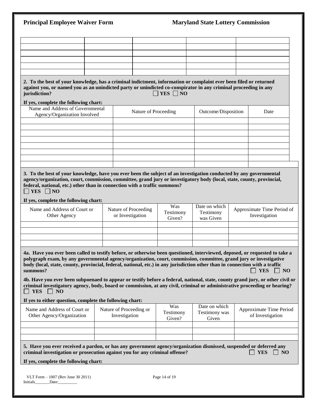| <b>Principal Employee Waiver Form</b>                                                                                                                                                                                                                                                                                                                                                                                                                                                                                                                                                                                                                                                                                                               |  |                                          |                            | <b>Maryland State Lottery Commission</b> |                                             |
|-----------------------------------------------------------------------------------------------------------------------------------------------------------------------------------------------------------------------------------------------------------------------------------------------------------------------------------------------------------------------------------------------------------------------------------------------------------------------------------------------------------------------------------------------------------------------------------------------------------------------------------------------------------------------------------------------------------------------------------------------------|--|------------------------------------------|----------------------------|------------------------------------------|---------------------------------------------|
|                                                                                                                                                                                                                                                                                                                                                                                                                                                                                                                                                                                                                                                                                                                                                     |  |                                          |                            |                                          |                                             |
|                                                                                                                                                                                                                                                                                                                                                                                                                                                                                                                                                                                                                                                                                                                                                     |  |                                          |                            |                                          |                                             |
|                                                                                                                                                                                                                                                                                                                                                                                                                                                                                                                                                                                                                                                                                                                                                     |  |                                          |                            |                                          |                                             |
|                                                                                                                                                                                                                                                                                                                                                                                                                                                                                                                                                                                                                                                                                                                                                     |  |                                          |                            |                                          |                                             |
| 2. To the best of your knowledge, has a criminal indictment, information or complaint ever been filed or returned<br>against you, or named you as an unindicted party or unindicted co-conspirator in any criminal proceeding in any<br>jurisdiction?                                                                                                                                                                                                                                                                                                                                                                                                                                                                                               |  |                                          | $\Box$ YES $\Box$ NO       |                                          |                                             |
| If yes, complete the following chart:                                                                                                                                                                                                                                                                                                                                                                                                                                                                                                                                                                                                                                                                                                               |  |                                          |                            |                                          |                                             |
| Name and Address of Governmental<br>Agency/Organization Involved                                                                                                                                                                                                                                                                                                                                                                                                                                                                                                                                                                                                                                                                                    |  |                                          | Nature of Proceeding       | Outcome/Disposition                      | Date                                        |
|                                                                                                                                                                                                                                                                                                                                                                                                                                                                                                                                                                                                                                                                                                                                                     |  |                                          |                            |                                          |                                             |
|                                                                                                                                                                                                                                                                                                                                                                                                                                                                                                                                                                                                                                                                                                                                                     |  |                                          |                            |                                          |                                             |
|                                                                                                                                                                                                                                                                                                                                                                                                                                                                                                                                                                                                                                                                                                                                                     |  |                                          |                            |                                          |                                             |
| federal, national, etc.) other than in connection with a traffic summons?<br>$\neg$ YES $\neg$ NO<br>If yes, complete the following chart:<br>Name and Address of Court or<br>Other Agency                                                                                                                                                                                                                                                                                                                                                                                                                                                                                                                                                          |  | Nature of Proceeding<br>or Investigation | Was<br>Testimony<br>Given? | Date on which<br>Testimony<br>was Given  | Approximate Time Period of<br>Investigation |
|                                                                                                                                                                                                                                                                                                                                                                                                                                                                                                                                                                                                                                                                                                                                                     |  |                                          |                            |                                          |                                             |
| 4a. Have you ever been called to testify before, or otherwise been questioned, interviewed, deposed, or requested to take a<br>polygraph exam, by any governmental agency/organization, court, commission, committee, grand jury or investigative<br>body (local, state, county, provincial, federal, national, etc.) in any jurisdiction other than in connection with a traffic<br>summons?<br>4b. Have you ever been subpoenaed to appear or testify before a federal, national, state, county grand jury, or other civil or<br>criminal investigatory agency, body, board or commission, at any civil, criminal or administrative proceeding or hearing?<br><b>YES</b><br>$\Box$ NO<br>If yes to either question, complete the following chart: |  |                                          |                            |                                          | YES $\Box$ NO                               |
|                                                                                                                                                                                                                                                                                                                                                                                                                                                                                                                                                                                                                                                                                                                                                     |  |                                          | Was                        | Date on which                            |                                             |
| Name and Address of Court or<br>Other Agency/Organization                                                                                                                                                                                                                                                                                                                                                                                                                                                                                                                                                                                                                                                                                           |  | Nature of Proceeding or<br>Investigation | Testimony<br>Given?        | Testimony was<br>Given                   | Approximate Time Period<br>of Investigation |
|                                                                                                                                                                                                                                                                                                                                                                                                                                                                                                                                                                                                                                                                                                                                                     |  |                                          |                            |                                          |                                             |
| 5. Have you ever received a pardon, or has any government agency/organization dismissed, suspended or deferred any<br>criminal investigation or prosecution against you for any criminal offense?<br>If yes, complete the following chart:                                                                                                                                                                                                                                                                                                                                                                                                                                                                                                          |  |                                          |                            |                                          | <b>YES</b><br>$\Box$ NO                     |
| VLT Form $-1007$ (Rev June 30 2011)<br>Initials Date:                                                                                                                                                                                                                                                                                                                                                                                                                                                                                                                                                                                                                                                                                               |  |                                          | Page 14 of 19              |                                          |                                             |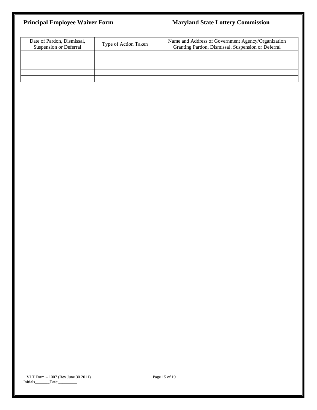## **Principal Employee Waiver Form Maryland State Lottery Commission**

| Date of Pardon, Dismissal,<br>Suspension or Deferral | Type of Action Taken | Name and Address of Government Agency/Organization<br>Granting Pardon, Dismissal, Suspension or Deferral |
|------------------------------------------------------|----------------------|----------------------------------------------------------------------------------------------------------|
|                                                      |                      |                                                                                                          |
|                                                      |                      |                                                                                                          |
|                                                      |                      |                                                                                                          |
|                                                      |                      |                                                                                                          |
|                                                      |                      |                                                                                                          |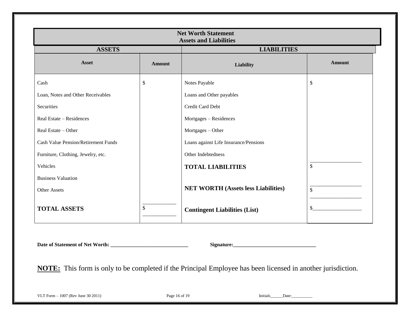| <b>Net Worth Statement</b><br><b>Assets and Liabilities</b> |               |                                            |               |  |  |  |
|-------------------------------------------------------------|---------------|--------------------------------------------|---------------|--|--|--|
| <b>ASSETS</b>                                               |               | <b>LIABILITIES</b>                         |               |  |  |  |
| <b>Asset</b>                                                | <b>Amount</b> | <b>Liability</b>                           | <b>Amount</b> |  |  |  |
| Cash                                                        | \$            | Notes Payable                              | \$            |  |  |  |
| Loan, Notes and Other Receivables                           |               | Loans and Other payables                   |               |  |  |  |
| Securities                                                  |               | Credit Card Debt                           |               |  |  |  |
| Real Estate – Residences                                    |               | Mortgages - Residences                     |               |  |  |  |
| Real Estate - Other                                         |               | Mortgages - Other                          |               |  |  |  |
| <b>Cash Value Pension/Retirement Funds</b>                  |               | Loans against Life Insurance/Pensions      |               |  |  |  |
| Furniture, Clothing, Jewelry, etc.                          |               | Other Indebtedness                         |               |  |  |  |
| Vehicles                                                    |               | <b>TOTAL LIABILITIES</b>                   | $\mathcal{S}$ |  |  |  |
| <b>Business Valuation</b>                                   |               |                                            |               |  |  |  |
| Other Assets                                                |               | <b>NET WORTH (Assets less Liabilities)</b> | $\mathcal{S}$ |  |  |  |
| <b>TOTAL ASSETS</b>                                         | $\$$          | <b>Contingent Liabilities (List)</b>       | \$            |  |  |  |

**Date of Statement of Net Worth: \_\_\_\_\_\_\_\_\_\_\_\_\_\_\_\_\_\_\_\_\_\_\_\_\_\_\_\_\_\_ Signature:\_\_\_\_\_\_\_\_\_\_\_\_\_\_\_\_\_\_\_\_\_\_\_\_\_\_\_\_\_\_\_\_**

**NOTE:** This form is only to be completed if the Principal Employee has been licensed in another jurisdiction.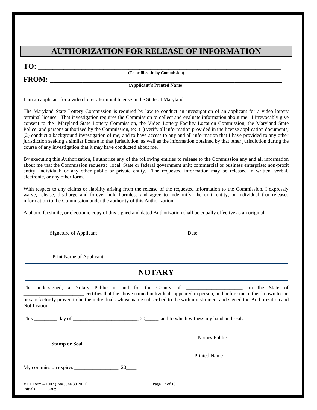# **AUTHORIZATION FOR RELEASE OF INFORMATION**

**TO: \_\_\_\_\_\_\_\_\_\_\_\_\_\_\_\_\_\_\_\_\_\_\_\_\_\_\_\_\_\_\_\_\_\_\_\_\_\_\_\_\_\_\_\_\_\_\_\_\_\_\_\_\_\_\_\_\_\_\_\_\_\_\_\_\_\_\_**

**(To be filled-in by Commission)**

#### **FROM: \_\_\_\_\_\_\_\_\_\_\_\_\_\_\_\_\_\_\_\_\_\_\_\_\_\_\_\_\_\_\_\_\_\_\_\_\_\_\_\_\_\_\_\_\_\_\_\_\_\_\_\_\_\_\_\_\_\_\_\_\_\_\_\_ (Applicant's Printed Name)**

I am an applicant for a video lottery terminal license in the State of Maryland.

The Maryland State Lottery Commission is required by law to conduct an investigation of an applicant for a video lottery terminal license. That investigation requires the Commission to collect and evaluate information about me. I irrevocably give consent to the Maryland State Lottery Commission, the Video Lottery Facility Location Commission, the Maryland State Police, and persons authorized by the Commission, to: (1) verify all information provided in the license application documents; (2) conduct a background investigation of me; and to have access to any and all information that I have provided to any other jurisdiction seeking a similar license in that jurisdiction, as well as the information obtained by that other jurisdiction during the course of any investigation that it may have conducted about me.

By executing this Authorization, I authorize any of the following entities to release to the Commission any and all information about me that the Commission requests: local, State or federal government unit; commercial or business enterprise; non-profit entity; individual; or any other public or private entity. The requested information may be released in written, verbal, electronic, or any other form.

With respect to any claims or liability arising from the release of the requested information to the Commission, I expressly waive, release, discharge and forever hold harmless and agree to indemnify, the unit, entity, or individual that releases information to the Commission under the authority of this Authorization.

A photo, facsimile, or electronic copy of this signed and dated Authorization shall be equally effective as an original.

\_\_\_\_\_\_\_\_\_\_\_\_\_\_\_\_\_\_\_\_\_\_\_\_\_\_\_\_\_\_\_\_\_\_\_\_ \_\_\_\_\_\_\_\_\_\_\_\_\_\_\_\_\_\_\_\_\_\_\_\_\_\_\_\_\_\_\_\_

Signature of Applicant Date

\_\_\_\_\_\_\_\_\_\_\_\_\_\_\_\_\_\_\_\_\_\_\_\_\_\_\_\_\_\_\_\_\_\_\_\_\_\_\_\_\_\_\_ Print Name of Applicant

# **NOTARY**

|      | The undersigned, a Notary Public in and for the County of _______________________                                                               |  |  |  | , certifies that the above named individuals appeared in person, and before me, either known to me |  |               |  |  | in the State of |  |
|------|-------------------------------------------------------------------------------------------------------------------------------------------------|--|--|--|----------------------------------------------------------------------------------------------------|--|---------------|--|--|-----------------|--|
|      | or satisfactorily proven to be the individuals whose name subscribed to the within instrument and signed the Authorization and<br>Notification. |  |  |  |                                                                                                    |  |               |  |  |                 |  |
| This | day of                                                                                                                                          |  |  |  | 20, and to which witness my hand and seal.                                                         |  |               |  |  |                 |  |
|      |                                                                                                                                                 |  |  |  |                                                                                                    |  | Notary Public |  |  |                 |  |

**Stamp or Seal**

 $\overline{\phantom{a}}$  ,  $\overline{\phantom{a}}$  ,  $\overline{\phantom{a}}$  ,  $\overline{\phantom{a}}$  ,  $\overline{\phantom{a}}$  ,  $\overline{\phantom{a}}$  ,  $\overline{\phantom{a}}$  ,  $\overline{\phantom{a}}$  ,  $\overline{\phantom{a}}$  ,  $\overline{\phantom{a}}$  ,  $\overline{\phantom{a}}$  ,  $\overline{\phantom{a}}$  ,  $\overline{\phantom{a}}$  ,  $\overline{\phantom{a}}$  ,  $\overline{\phantom{a}}$  ,  $\overline{\phantom{a}}$ Printed Name

My commission expires \_\_\_\_\_\_\_\_\_\_\_\_\_\_\_\_\_, 20\_\_\_\_

VLT Form – <sup>1007</sup> (Rev June 30 2011) Page 17 of 19 Initials Date: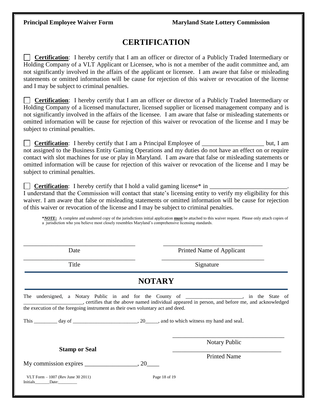# **CERTIFICATION**

 **Certification**: I hereby certify that I am an officer or director of a Publicly Traded Intermediary or Holding Company of a VLT Applicant or Licensee, who is not a member of the audit committee and, am not significantly involved in the affairs of the applicant or licensee. I am aware that false or misleading statements or omitted information will be cause for rejection of this waiver or revocation of the license and I may be subject to criminal penalties.

 **Certification**: I hereby certify that I am an officer or director of a Publicly Traded Intermediary or Holding Company of a licensed manufacturer, licensed supplier or licensed management company and is not significantly involved in the affairs of the licensee. I am aware that false or misleading statements or omitted information will be cause for rejection of this waiver or revocation of the license and I may be subject to criminal penalties.

**Certification**: I hereby certify that I am a Principal Employee of \_\_\_\_\_\_\_\_\_\_\_\_\_\_\_\_\_\_\_\_\_\_ but, I am not assigned to the Business Entity Gaming Operations and my duties do not have an effect on or require contact with slot machines for use or play in Maryland. I am aware that false or misleading statements or omitted information will be cause for rejection of this waiver or revocation of the license and I may be subject to criminal penalties.

**Certification:** I hereby certify that I hold a valid gaming license\* in

I understand that the Commission will contact that state's licensing entity to verify my eligibility for this waiver. I am aware that false or misleading statements or omitted information will be cause for rejection of this waiver or revocation of the license and I may be subject to criminal penalties.

**\****NOTE***:** A complete and unaltered copy of the jurisdictions initial application **must** be attached to this waiver request. Please only attach copies of a jurisdiction who you believe most closely resembles Maryland's comprehensive licensing standards.

| Date                                                                           | Printed Name of Applicant                                                                                                                                                                       |  |  |  |  |  |  |  |
|--------------------------------------------------------------------------------|-------------------------------------------------------------------------------------------------------------------------------------------------------------------------------------------------|--|--|--|--|--|--|--|
| Title                                                                          | Signature                                                                                                                                                                                       |  |  |  |  |  |  |  |
| <b>NOTARY</b>                                                                  |                                                                                                                                                                                                 |  |  |  |  |  |  |  |
| the execution of the foregoing instrument as their own voluntary act and deed. | The undersigned, a Notary Public in and for the County of ___________________, in the State of<br>certifies that the above named individual appeared in person, and before me, and acknowledged |  |  |  |  |  |  |  |
| <b>Stamp or Seal</b><br>My commission expires $\_\_\_\_\_\_\_\_$ , 20          | <b>Notary Public</b><br><b>Printed Name</b>                                                                                                                                                     |  |  |  |  |  |  |  |
| VLT Form $-1007$ (Rev June 30 2011)<br>Initials Date:                          | Page 18 of 19                                                                                                                                                                                   |  |  |  |  |  |  |  |